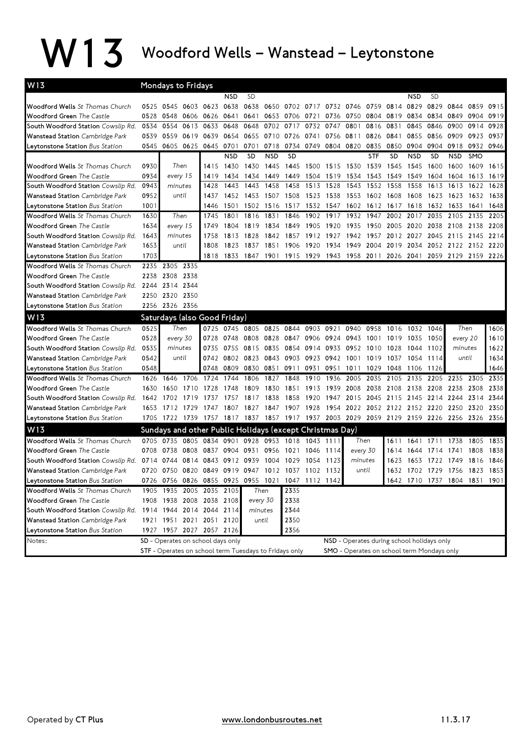## W13 Woodford Wells – Wanstead – Leytonstone

| W13                                    |                                                                                 | Mondays to Fridays                                       |                |                                      |            |                |            |                |                |                                            |           |            |                                                                                           |            |                     |                               |           |      |
|----------------------------------------|---------------------------------------------------------------------------------|----------------------------------------------------------|----------------|--------------------------------------|------------|----------------|------------|----------------|----------------|--------------------------------------------|-----------|------------|-------------------------------------------------------------------------------------------|------------|---------------------|-------------------------------|-----------|------|
|                                        |                                                                                 |                                                          |                |                                      | <b>NSD</b> | <b>SD</b>      |            |                |                |                                            |           |            |                                                                                           | NSD        | <b>SD</b>           |                               |           |      |
| Woodford Wells St Thomas Church        | 0525                                                                            | 0545 0603 0623                                           |                |                                      | 0638       | 0638           | 0650       |                |                | 0702 0717 0732 0746 0759 0814              |           |            |                                                                                           | 0829       | 0829                | 0844                          | 0859      | 0915 |
| Woodford Green The Castle              | 0528                                                                            | 0548                                                     | 0606 0626      |                                      | 0641       | 0641           |            | 0653 0706 0721 |                | 0736                                       | 0750      | 0804 0819  |                                                                                           | 0834       | 0834 0849           |                               | 0904      | 0919 |
| South Woodford Station Cowslip Rd.     | 0534                                                                            | 0554                                                     |                | 0613 0633                            | 0648       | 0648           | 0702       | 0717           | 0732           | 0747                                       | 0801      | 0816 0831  |                                                                                           | 0845       | 0846                | 0900                          | 0914      | 0928 |
| Wanstead Station Cambridge Park        | 0539                                                                            | 0559                                                     | 0619 0639      |                                      |            |                |            |                |                | 0654 0655 0710 0726 0741 0756 0811         |           |            | 0826 0841                                                                                 | 0855       | 0856 0909           |                               | 0923      | 0937 |
| Leytonstone Station Bus Station        | 0545                                                                            |                                                          | 0605 0625 0645 |                                      | 0701       | 0701 0718      |            |                |                | 0734 0749 0804 0820                        |           | 0835       | 0850                                                                                      | 0904       | 0904 0918           |                               | 0932 0946 |      |
|                                        |                                                                                 |                                                          |                |                                      | <b>NSD</b> | <b>SD</b>      | <b>NSD</b> | <b>SD</b>      |                |                                            |           | <b>STF</b> | <b>SD</b>                                                                                 | <b>NSD</b> | <b>SD</b>           | <b>NSD</b>                    | SMO       |      |
| Woodford Wells St Thomas Church        | 0930                                                                            |                                                          | Then           | 1415                                 | 1430       | 1430           | 1445       |                | 1445 1500 1515 |                                            | 1530      | 1539       | 1545                                                                                      | 1545       | 1600                | 1600                          | 1609      | 1615 |
| <b>Woodford Green</b> The Castle       | 0934                                                                            | every 15                                                 |                | 1419                                 | 1434       | 1434 1449      |            | 1449           | 1504 1519      |                                            | 1534      |            | 1543 1549                                                                                 | 1549       | 1604                | 1604                          | 1613      | 1619 |
| South Woodford Station Cowslip Rd.     | 0943                                                                            | minutes                                                  |                | 1428                                 | 1443       | 1443           | 1458       | 1458           | 1513           | 1528                                       | 1543      | 1552       | 1558                                                                                      | 1558       | 1613                | 1613                          | 1622      | 1628 |
| Wanstead Station Cambridge Park        | 0952                                                                            | until                                                    |                | 1437                                 | 1452       | 1453 1507      |            | 1508           | 1523 1538      |                                            | 1553      | 1602 1608  |                                                                                           | 1608       | 1623 1623           |                               | 1632      | 1638 |
| Leytonstone Station Bus Station        | 1001                                                                            |                                                          |                | 1446                                 | 1501       |                | 1502 1516  | 1517           | 1532           | 1547 1602 1612 1617                        |           |            |                                                                                           | 1618       | 1632                | 1633                          | 1641      | 1648 |
| Woodford Wells St Thomas Church        | 1630                                                                            |                                                          | Then           | 1745                                 | 1801       | 1816           | 1831       | 1846           | 1902           | 1917                                       | 1932 1947 |            | 2002 2017                                                                                 |            | 2035                | 2105                          | 2135      | 2205 |
| <b>Woodford Green The Castle</b>       | 1634                                                                            | every 15                                                 |                | 1749                                 | 1804       | 1819 1834      |            | 1849           | 1905 1920      |                                            | 1935      | 1950 2005  |                                                                                           | 2020       | 2038                | 2108                          | 2138      | 2208 |
| South Woodford Station Cowslip Rd.     | 1643                                                                            | minutes                                                  |                | 1758                                 | 1813       | 1828           | 1842       |                | 1857 1912 1927 |                                            | 1942      | 1957       | 2012                                                                                      | 2027       |                     | 2045 2115                     | 2145      | 2214 |
| <b>Wanstead Station</b> Cambridge Park | 1653                                                                            | until                                                    |                | 1808                                 | 1823       | 1837           | 1851       | 1906           | 1920           | 1934                                       | 1949      | 2004       | 2019                                                                                      | 2034       |                     | 2052 2122 2152                |           | 2220 |
| Leytonstone Station Bus Station        | 1703                                                                            |                                                          |                | 1818                                 | 1833       | 1847           | 1901       | 1915 1929      |                | 1943                                       | 1958 2011 |            | 2026                                                                                      | 2041       |                     | 2059 2129 2159                |           | 2226 |
| Woodford Wells St Thomas Church        | 2235                                                                            | 2305 2335                                                |                |                                      |            |                |            |                |                |                                            |           |            |                                                                                           |            |                     |                               |           |      |
| Woodford Green The Castle              | 2238                                                                            | 2308 2338                                                |                |                                      |            |                |            |                |                |                                            |           |            |                                                                                           |            |                     |                               |           |      |
| South Woodford Station Cowslip Rd.     | 2244                                                                            | 2314 2344                                                |                |                                      |            |                |            |                |                |                                            |           |            |                                                                                           |            |                     |                               |           |      |
| Wanstead Station Cambridge Park        | 2250                                                                            | 2320 2350                                                |                |                                      |            |                |            |                |                |                                            |           |            |                                                                                           |            |                     |                               |           |      |
| Leytonstone Station Bus Station        |                                                                                 | 2256 2326 2356                                           |                |                                      |            |                |            |                |                |                                            |           |            |                                                                                           |            |                     |                               |           |      |
| W <sub>13</sub>                        |                                                                                 | Saturdays (also Good Friday)                             |                |                                      |            |                |            |                |                |                                            |           |            |                                                                                           |            |                     |                               |           |      |
| Woodford Wells St Thomas Church        | 0525                                                                            |                                                          | Then           |                                      |            |                |            |                |                | 0725 0745 0805 0825 0844 0903 0921 0940    |           | 0958       | 1016 1032 1046                                                                            |            |                     | Then                          |           | 1606 |
| <b>Woodford Green</b> The Castle       | 0528                                                                            | every 30                                                 |                | 0728                                 |            | 0748 0808 0828 |            |                |                | 0847 0906 0924 0943                        |           | 1001 1019  |                                                                                           | 1035       | 1050                | every 20                      |           | 1610 |
| South Woodford Station Cowslip Rd.     | 0535                                                                            | minutes                                                  |                | 0735                                 |            | 0755 0815 0835 |            | 0854 0914 0933 |                |                                            | 0952      | 1010 1028  |                                                                                           | 1044       | 1102                | minutes                       |           | 1622 |
| Wanstead Station Cambridge Park        | 0542                                                                            | until                                                    |                | 0742                                 |            | 0802 0823 0843 |            |                |                | 0903 0923 0942 1001                        |           | 1019 1037  |                                                                                           | 1054       | 1114                | until                         |           | 1634 |
| Leytonstone Station Bus Station        | 0548                                                                            |                                                          |                | 0748                                 | 0809       |                | 0830 0851  | 0911           | 0931           | 0951 1011                                  |           | 1029       | 1048                                                                                      | 1106       | 1126                |                               |           | 1646 |
| Woodford Wells St Thomas Church        | 1626                                                                            | 1646                                                     | 1706           | 1724                                 | 1744       | 1806           | 1827       | 1848           | 1910           | 1936                                       | 2005      | 2035       | 2105                                                                                      | 2135       |                     | 2205 2235 2305                |           | 2335 |
| Woodford Green The Castle              | 1630                                                                            | 1650                                                     | 1710           | 1728                                 | 1748       | 1809           | 1830       | 1851           | 1913           | 1939                                       | 2008      | 2038       | 2108                                                                                      | 2138       | 2208 2238           |                               | 2308      | 2338 |
| South Woodford Station Cowslip Rd.     | 1642                                                                            | 1702 1719 1737                                           |                |                                      |            | 1757 1817 1838 |            |                |                |                                            |           |            | 1858 1920 1947 2015 2045 2115 2145                                                        |            | 2214 2244           |                               | 2314 2344 |      |
| Wanstead Station Cambridge Park        | 1653                                                                            |                                                          | 1712 1729 1747 |                                      |            | 1807 1827 1847 |            | 1907 1928      |                |                                            |           |            | 1954 2022 2052 2122 2152 2220 2250 2320                                                   |            |                     |                               |           | 2350 |
| Leytonstone Station Bus Station        |                                                                                 |                                                          |                |                                      |            |                |            |                |                |                                            |           |            | 1705 1722 1739 1757 1817 1837 1857 1917 1937 2003 2029 2059 2129 2159 2226 2256 2326 2356 |            |                     |                               |           |      |
| W <sub>13</sub>                        |                                                                                 | Sundays and other Public Holidays (except Christmas Day) |                |                                      |            |                |            |                |                |                                            |           |            |                                                                                           |            |                     |                               |           |      |
| Woodford Wells St Thomas Church        |                                                                                 | 0705 0735 0805 0834 0901 0928 0953 1018 1043 1111        |                |                                      |            |                |            |                |                |                                            | Then      |            | 1611                                                                                      |            |                     | 1641 1711 1738 1805           |           | 1835 |
| <b>Woodford Green</b> The Castle       | 0708                                                                            | 0738                                                     |                | 0808 0837 0904 0931 0956             |            |                |            | 1021 1046      |                | 1114                                       | every 30  |            | 1614                                                                                      | 1644       | 1714 1741           |                               | 1808      | 1838 |
| South Woodford Station Cowslip Rd.     | 0714                                                                            | 0744                                                     |                | 0814 0843                            | 0912       | 0939           | 1004       | 1029           | 1054           | 1123                                       | minutes   |            | 1623                                                                                      | 1653       | 1722                | 1749                          | 1816      | 1846 |
| Wanstead Station Cambridge Park        | 0720                                                                            | 0750 0820 0849 0919 0947                                 |                |                                      |            |                | 1012       | 1037 1102 1132 |                |                                            | until     |            |                                                                                           |            | 1632 1702 1729 1756 |                               | 1823 1853 |      |
| eytonstone Station Bus Station         |                                                                                 | 0726 0756 0826 0855 0925 0955 1021 1047 1112 1142        |                |                                      |            |                |            |                |                |                                            |           |            |                                                                                           |            |                     | 1642 1710 1737 1804 1831 1901 |           |      |
| Woodford Wells St Thomas Church        |                                                                                 | 1905 1935 2005 2035 2105                                 |                |                                      |            |                | Then       | 2335           |                |                                            |           |            |                                                                                           |            |                     |                               |           |      |
| Woodford Green The Castle              |                                                                                 |                                                          |                | 1908 1938 2008 2038 2108<br>every 30 |            |                | 2338       |                |                |                                            |           |            |                                                                                           |            |                     |                               |           |      |
| South Woodford Station Cowslip Rd.     |                                                                                 | 1914 1944 2014 2044 2114                                 |                |                                      |            | minutes        |            | 2344           |                |                                            |           |            |                                                                                           |            |                     |                               |           |      |
| Wanstead Station Cambridge Park        |                                                                                 | 1921 1951 2021 2051 2120                                 |                |                                      |            |                | until      | 2350           |                |                                            |           |            |                                                                                           |            |                     |                               |           |      |
| Leytonstone Station Bus Station        |                                                                                 | 1927 1957 2027 2057 2126                                 |                |                                      |            |                |            | 2356           |                |                                            |           |            |                                                                                           |            |                     |                               |           |      |
| Notes:                                 | SD - Operates on school days only<br>NSD - Operates during school holidays only |                                                          |                |                                      |            |                |            |                |                |                                            |           |            |                                                                                           |            |                     |                               |           |      |
|                                        |                                                                                 | STF - Operates on school term Tuesdays to Fridays only   |                |                                      |            |                |            |                |                | SMO - Operates on school term Mondays only |           |            |                                                                                           |            |                     |                               |           |      |